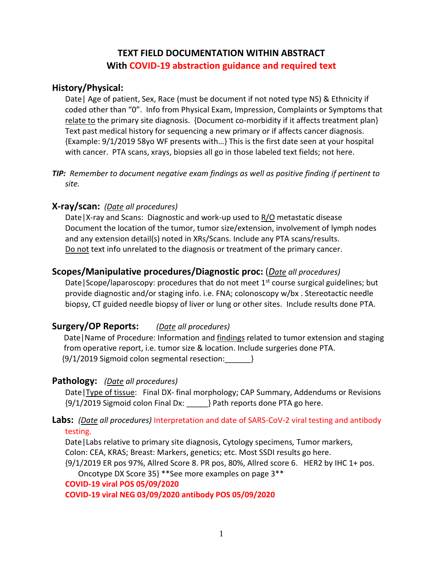# **TEXT FIELD DOCUMENTATION WITHIN ABSTRACT With COVID-19 abstraction guidance and required text**

## **History/Physical:**

Date| Age of patient, Sex, Race (must be document if not noted type NS) & Ethnicity if coded other than "0". Info from Physical Exam, Impression, Complaints or Symptoms that relate to the primary site diagnosis. {Document co-morbidity if it affects treatment plan} Text past medical history for sequencing a new primary or if affects cancer diagnosis. {Example: 9/1/2019 58yo WF presents with…} This is the first date seen at your hospital with cancer. PTA scans, xrays, biopsies all go in those labeled text fields; not here.

*TIP: Remember to document negative exam findings as well as positive finding if pertinent to site.*

# **X-ray/scan:** *(Date all procedures)*

Date|X-ray and Scans: Diagnostic and work-up used to R/O metastatic disease Document the location of the tumor, tumor size/extension, involvement of lymph nodes and any extension detail(s) noted in XRs/Scans. Include any PTA scans/results. Do not text info unrelated to the diagnosis or treatment of the primary cancer.

# **Scopes/Manipulative procedures/Diagnostic proc:** (*Date all procedures)*

Date Scope/laparoscopy: procedures that do not meet  $1<sup>st</sup>$  course surgical guidelines; but provide diagnostic and/or staging info. i.e. FNA; colonoscopy w/bx . Stereotactic needle biopsy, CT guided needle biopsy of liver or lung or other sites. Include results done PTA.

### **Surgery/OP Reports:** *(Date all procedures)*

 Date|Name of Procedure: Information and findings related to tumor extension and staging from operative report, i.e. tumor size & location. Include surgeries done PTA. {9/1/2019 Sigmoid colon segmental resection:\_\_\_\_\_\_}

### **Pathology:** *(Date all procedures)*

Date|Type of tissue: Final DX- final morphology; CAP Summary, Addendums or Revisions {9/1/2019 Sigmoid colon Final Dx: \_\_\_\_\_} Path reports done PTA go here.

### **Labs:** *(Date all procedures)* Interpretation and date of SARS-CoV-2 viral testing and antibody testing.

Date|Labs relative to primary site diagnosis, Cytology specimens*,* Tumor markers, Colon: CEA, KRAS; Breast: Markers, genetics; etc. Most SSDI results go here.

{9/1/2019 ER pos 97%, Allred Score 8. PR pos, 80%, Allred score 6. HER2 by IHC 1+ pos. Oncotype DX Score 35} \*\*See more examples on page 3\*\*

**COVID-19 viral POS 05/09/2020**

**COVID-19 viral NEG 03/09/2020 antibody POS 05/09/2020**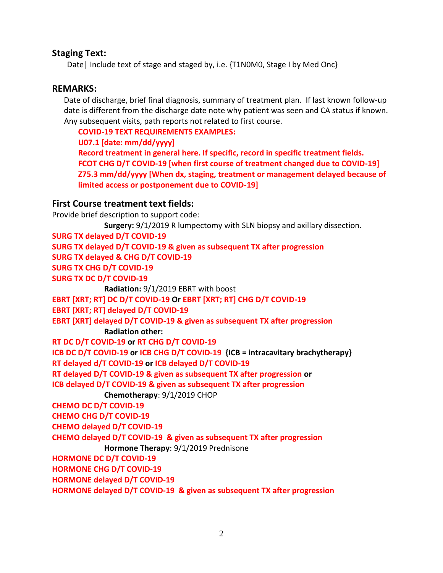### **Staging Text:**

Date| Include text of stage and staged by, i.e. {T1N0M0, Stage I by Med Onc}

### **REMARKS:**

 Date of discharge, brief final diagnosis, summary of treatment plan. If last known follow-up date is different from the discharge date note why patient was seen and CA status if known. Any subsequent visits, path reports not related to first course.

**COVID-19 TEXT REQUIREMENTS EXAMPLES:**

**U07.1 [date: mm/dd/yyyy]**

**Record treatment in general here. If specific, record in specific treatment fields. FCOT CHG D/T COVID-19 [when first course of treatment changed due to COVID-19] Z75.3 mm/dd/yyyy [When dx, staging, treatment or management delayed because of limited access or postponement due to COVID-19]**

### **First Course treatment text fields:**

Provide brief description to support code:

```
Surgery: 9/1/2019 R lumpectomy with SLN biopsy and axillary dissection.
SURG TX delayed D/T COVID-19
SURG TX delayed D/T COVID-19 & given as subsequent TX after progression
SURG TX delayed & CHG D/T COVID-19
SURG TX CHG D/T COVID-19
SURG TX DC D/T COVID-19
             Radiation: 9/1/2019 EBRT with boost
EBRT [XRT; RT] DC D/T COVID-19 Or EBRT [XRT; RT] CHG D/T COVID-19
EBRT [XRT; RT] delayed D/T COVID-19
EBRT [XRT] delayed D/T COVID-19 & given as subsequent TX after progression
             Radiation other:
RT DC D/T COVID-19 or RT CHG D/T COVID-19
ICB DC D/T COVID-19 or ICB CHG D/T COVID-19 {ICB = intracavitary brachytherapy}
RT delayed d/T COVID-19 or ICB delayed D/T COVID-19
RT delayed D/T COVID-19 & given as subsequent TX after progression or
ICB delayed D/T COVID-19 & given as subsequent TX after progression
             Chemotherapy: 9/1/2019 CHOP
CHEMO DC D/T COVID-19
CHEMO CHG D/T COVID-19
CHEMO delayed D/T COVID-19
CHEMO delayed D/T COVID-19 & given as subsequent TX after progression
             Hormone Therapy: 9/1/2019 Prednisone
HORMONE DC D/T COVID-19
HORMONE CHG D/T COVID-19
HORMONE delayed D/T COVID-19
HORMONE delayed D/T COVID-19 & given as subsequent TX after progression
```